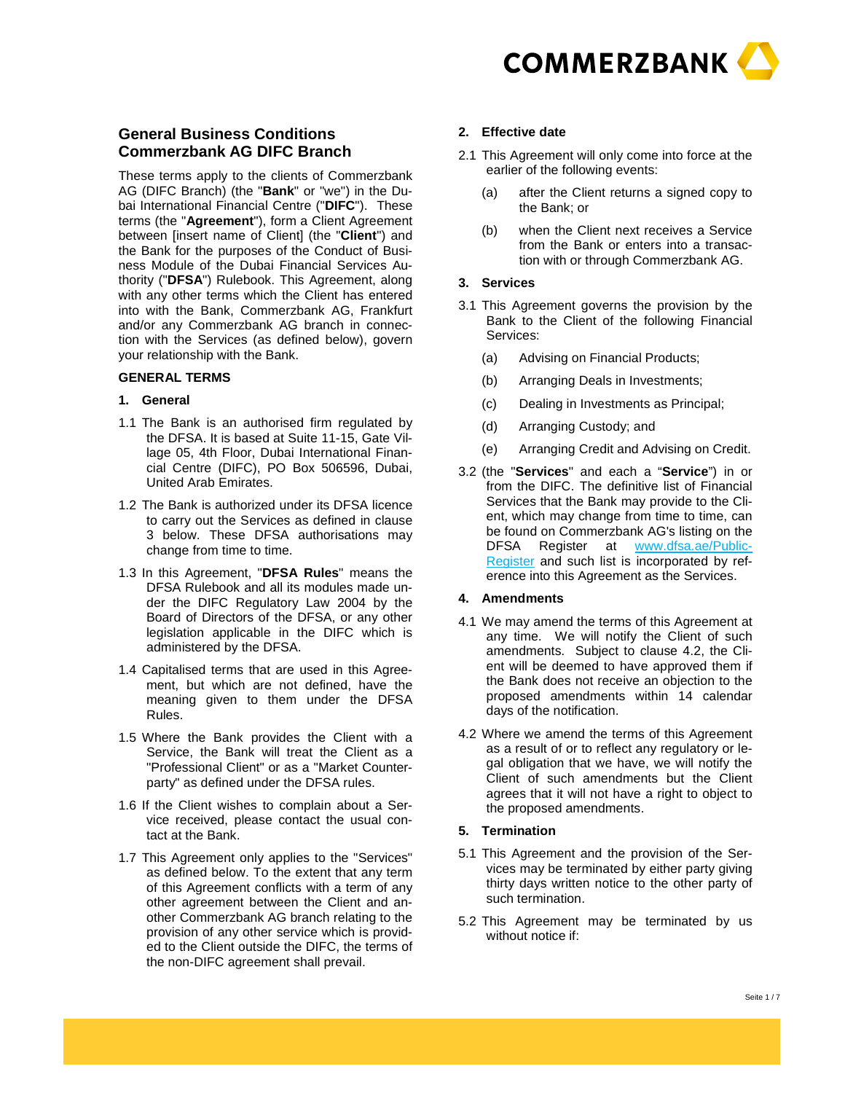

# **General Business Conditions Commerzbank AG DIFC Branch**

These terms apply to the clients of Commerzbank AG (DIFC Branch) (the "**Bank**" or "we") in the Dubai International Financial Centre ("**DIFC**"). These terms (the "**Agreement**"), form a Client Agreement between [insert name of Client] (the "**Client**") and the Bank for the purposes of the Conduct of Business Module of the Dubai Financial Services Authority ("**DFSA**") Rulebook. This Agreement, along with any other terms which the Client has entered into with the Bank, Commerzbank AG, Frankfurt and/or any Commerzbank AG branch in connection with the Services (as defined below), govern your relationship with the Bank.

#### **GENERAL TERMS**

#### **1. General**

- 1.1 The Bank is an authorised firm regulated by the DFSA. It is based at Suite 11-15, Gate Village 05, 4th Floor, Dubai International Financial Centre (DIFC), PO Box 506596, Dubai, United Arab Emirates.
- 1.2 The Bank is authorized under its DFSA licence to carry out the Services as defined in clause 3 below. These DFSA authorisations may change from time to time.
- 1.3 In this Agreement, "**DFSA Rules**" means the DFSA Rulebook and all its modules made under the DIFC Regulatory Law 2004 by the Board of Directors of the DFSA, or any other legislation applicable in the DIFC which is administered by the DFSA.
- 1.4 Capitalised terms that are used in this Agreement, but which are not defined, have the meaning given to them under the DFSA Rules.
- 1.5 Where the Bank provides the Client with a Service, the Bank will treat the Client as a "Professional Client" or as a "Market Counterparty" as defined under the DFSA rules.
- 1.6 If the Client wishes to complain about a Service received, please contact the usual contact at the Bank.
- 1.7 This Agreement only applies to the "Services" as defined below. To the extent that any term of this Agreement conflicts with a term of any other agreement between the Client and another Commerzbank AG branch relating to the provision of any other service which is provided to the Client outside the DIFC, the terms of the non-DIFC agreement shall prevail.

## **2. Effective date**

- 2.1 This Agreement will only come into force at the earlier of the following events:
	- (a) after the Client returns a signed copy to the Bank; or
	- (b) when the Client next receives a Service from the Bank or enters into a transaction with or through Commerzbank AG.

## **3. Services**

- 3.1 This Agreement governs the provision by the Bank to the Client of the following Financial Services:
	- (a) Advising on Financial Products;
	- (b) Arranging Deals in Investments;
	- (c) Dealing in Investments as Principal;
	- (d) Arranging Custody; and
	- (e) Arranging Credit and Advising on Credit.
- 3.2 (the "**Services**" and each a "**Service**") in or from the DIFC. The definitive list of Financial Services that the Bank may provide to the Client, which may change from time to time, can be found on Commerzbank AG's listing on the DFSA Register at www.dfsa.ae/Public-Register and such list is incorporated by reference into this Agreement as the Services.

## **4. Amendments**

- 4.1 We may amend the terms of this Agreement at any time. We will notify the Client of such amendments. Subject to clause 4.2, the Client will be deemed to have approved them if the Bank does not receive an objection to the proposed amendments within 14 calendar days of the notification.
- 4.2 Where we amend the terms of this Agreement as a result of or to reflect any regulatory or legal obligation that we have, we will notify the Client of such amendments but the Client agrees that it will not have a right to object to the proposed amendments.

## **5. Termination**

- 5.1 This Agreement and the provision of the Services may be terminated by either party giving thirty days written notice to the other party of such termination.
- 5.2 This Agreement may be terminated by us without notice if: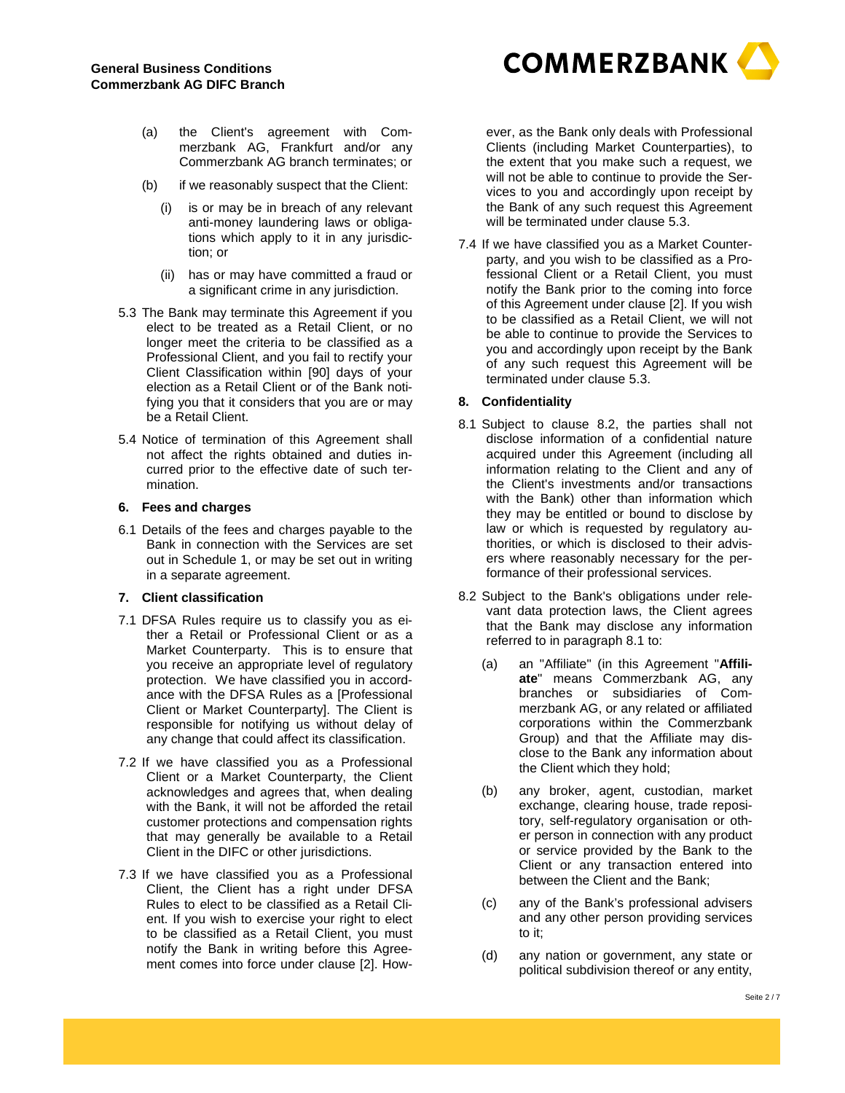

- (a) the Client's agreement with Commerzbank AG, Frankfurt and/or any Commerzbank AG branch terminates; or
- (b) if we reasonably suspect that the Client:
	- (i) is or may be in breach of any relevant anti-money laundering laws or obligations which apply to it in any jurisdiction; or
	- (ii) has or may have committed a fraud or a significant crime in any jurisdiction.
- 5.3 The Bank may terminate this Agreement if you elect to be treated as a Retail Client, or no longer meet the criteria to be classified as a Professional Client, and you fail to rectify your Client Classification within [90] days of your election as a Retail Client or of the Bank notifying you that it considers that you are or may be a Retail Client.
- 5.4 Notice of termination of this Agreement shall not affect the rights obtained and duties incurred prior to the effective date of such termination.

## **6. Fees and charges**

6.1 Details of the fees and charges payable to the Bank in connection with the Services are set out in Schedule 1, or may be set out in writing in a separate agreement.

## **7. Client classification**

- 7.1 DFSA Rules require us to classify you as either a Retail or Professional Client or as a Market Counterparty. This is to ensure that you receive an appropriate level of regulatory protection. We have classified you in accordance with the DFSA Rules as a [Professional Client or Market Counterparty]. The Client is responsible for notifying us without delay of any change that could affect its classification.
- 7.2 If we have classified you as a Professional Client or a Market Counterparty, the Client acknowledges and agrees that, when dealing with the Bank, it will not be afforded the retail customer protections and compensation rights that may generally be available to a Retail Client in the DIFC or other jurisdictions.
- 7.3 If we have classified you as a Professional Client, the Client has a right under DFSA Rules to elect to be classified as a Retail Client. If you wish to exercise your right to elect to be classified as a Retail Client, you must notify the Bank in writing before this Agreement comes into force under clause [2]. How-

ever, as the Bank only deals with Professional Clients (including Market Counterparties), to the extent that you make such a request, we will not be able to continue to provide the Services to you and accordingly upon receipt by the Bank of any such request this Agreement will be terminated under clause 5.3.

7.4 If we have classified you as a Market Counterparty, and you wish to be classified as a Professional Client or a Retail Client, you must notify the Bank prior to the coming into force of this Agreement under clause [2]. If you wish to be classified as a Retail Client, we will not be able to continue to provide the Services to you and accordingly upon receipt by the Bank of any such request this Agreement will be terminated under clause 5.3.

## **8. Confidentiality**

- 8.1 Subject to clause 8.2, the parties shall not disclose information of a confidential nature acquired under this Agreement (including all information relating to the Client and any of the Client's investments and/or transactions with the Bank) other than information which they may be entitled or bound to disclose by law or which is requested by regulatory authorities, or which is disclosed to their advisers where reasonably necessary for the performance of their professional services.
- 8.2 Subject to the Bank's obligations under relevant data protection laws, the Client agrees that the Bank may disclose any information referred to in paragraph 8.1 to:
	- (a) an "Affiliate" (in this Agreement "**Affiliate**" means Commerzbank AG, any branches or subsidiaries of Commerzbank AG, or any related or affiliated corporations within the Commerzbank Group) and that the Affiliate may disclose to the Bank any information about the Client which they hold;
	- (b) any broker, agent, custodian, market exchange, clearing house, trade repository, self-regulatory organisation or other person in connection with any product or service provided by the Bank to the Client or any transaction entered into between the Client and the Bank;
	- (c) any of the Bank's professional advisers and any other person providing services to it;
	- (d) any nation or government, any state or political subdivision thereof or any entity,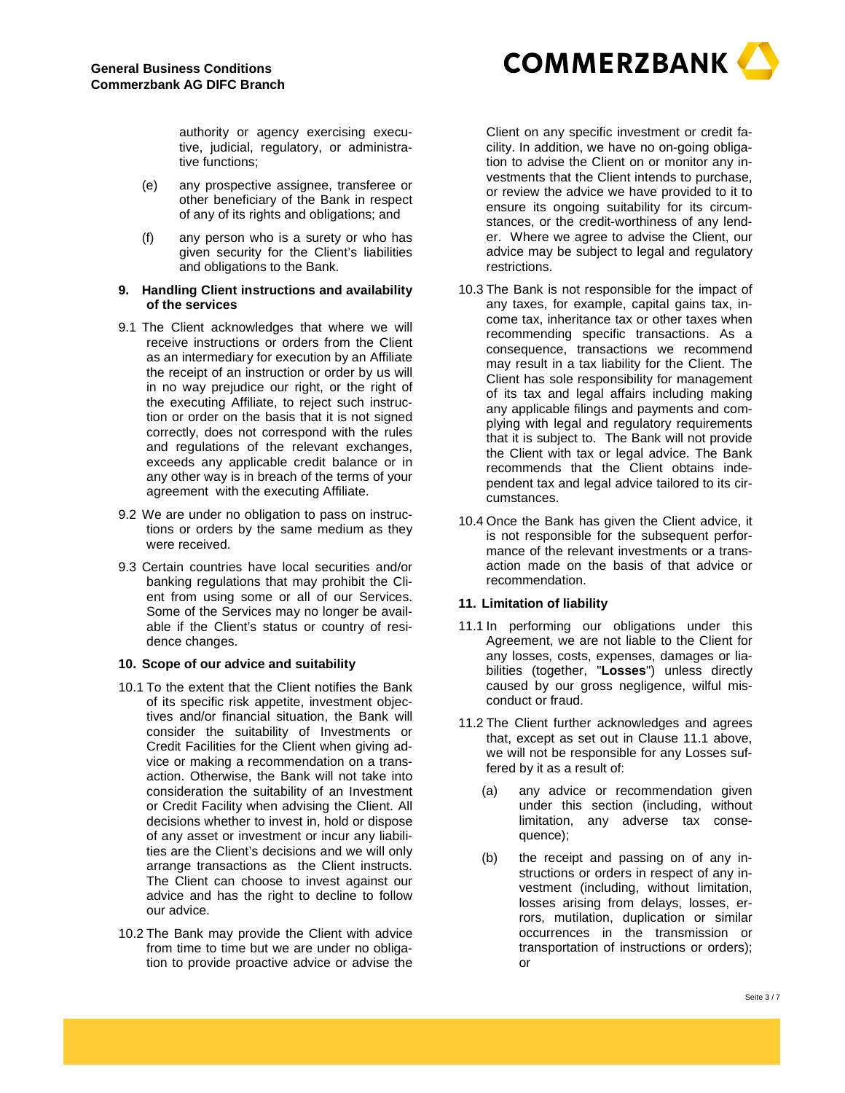

authority or agency exercising executive, judicial, regulatory, or administrative functions;

- (e) any prospective assignee, transferee or other beneficiary of the Bank in respect of any of its rights and obligations; and
- (f) any person who is a surety or who has given security for the Client's liabilities and obligations to the Bank.

#### **9. Handling Client instructions and availability of the services**

- 9.1 The Client acknowledges that where we will receive instructions or orders from the Client as an intermediary for execution by an Affiliate the receipt of an instruction or order by us will in no way prejudice our right, or the right of the executing Affiliate, to reject such instruction or order on the basis that it is not signed correctly, does not correspond with the rules and regulations of the relevant exchanges, exceeds any applicable credit balance or in any other way is in breach of the terms of your agreement with the executing Affiliate.
- 9.2 We are under no obligation to pass on instructions or orders by the same medium as they were received.
- 9.3 Certain countries have local securities and/or banking regulations that may prohibit the Client from using some or all of our Services. Some of the Services may no longer be available if the Client's status or country of residence changes.

## **10. Scope of our advice and suitability**

- 10.1 To the extent that the Client notifies the Bank of its specific risk appetite, investment objectives and/or financial situation, the Bank will consider the suitability of Investments or Credit Facilities for the Client when giving advice or making a recommendation on a transaction. Otherwise, the Bank will not take into consideration the suitability of an Investment or Credit Facility when advising the Client. All decisions whether to invest in, hold or dispose of any asset or investment or incur any liabilities are the Client's decisions and we will only arrange transactions as the Client instructs. The Client can choose to invest against our advice and has the right to decline to follow our advice.
- 10.2 The Bank may provide the Client with advice from time to time but we are under no obligation to provide proactive advice or advise the

Client on any specific investment or credit facility. In addition, we have no on-going obligation to advise the Client on or monitor any investments that the Client intends to purchase, or review the advice we have provided to it to ensure its ongoing suitability for its circumstances, or the credit-worthiness of any lender. Where we agree to advise the Client, our advice may be subject to legal and regulatory restrictions.

- 10.3 The Bank is not responsible for the impact of any taxes, for example, capital gains tax, income tax, inheritance tax or other taxes when recommending specific transactions. As a consequence, transactions we recommend may result in a tax liability for the Client. The Client has sole responsibility for management of its tax and legal affairs including making any applicable filings and payments and complying with legal and regulatory requirements that it is subject to. The Bank will not provide the Client with tax or legal advice. The Bank recommends that the Client obtains independent tax and legal advice tailored to its circumstances.
- 10.4 Once the Bank has given the Client advice, it is not responsible for the subsequent performance of the relevant investments or a transaction made on the basis of that advice or recommendation.

## **11. Limitation of liability**

- 11.1 In performing our obligations under this Agreement, we are not liable to the Client for any losses, costs, expenses, damages or liabilities (together, "**Losses**") unless directly caused by our gross negligence, wilful misconduct or fraud.
- 11.2 The Client further acknowledges and agrees that, except as set out in Clause 11.1 above, we will not be responsible for any Losses suffered by it as a result of:
	- (a) any advice or recommendation given under this section (including, without limitation, any adverse tax consequence);
	- (b) the receipt and passing on of any instructions or orders in respect of any investment (including, without limitation, losses arising from delays, losses, errors, mutilation, duplication or similar occurrences in the transmission or transportation of instructions or orders); or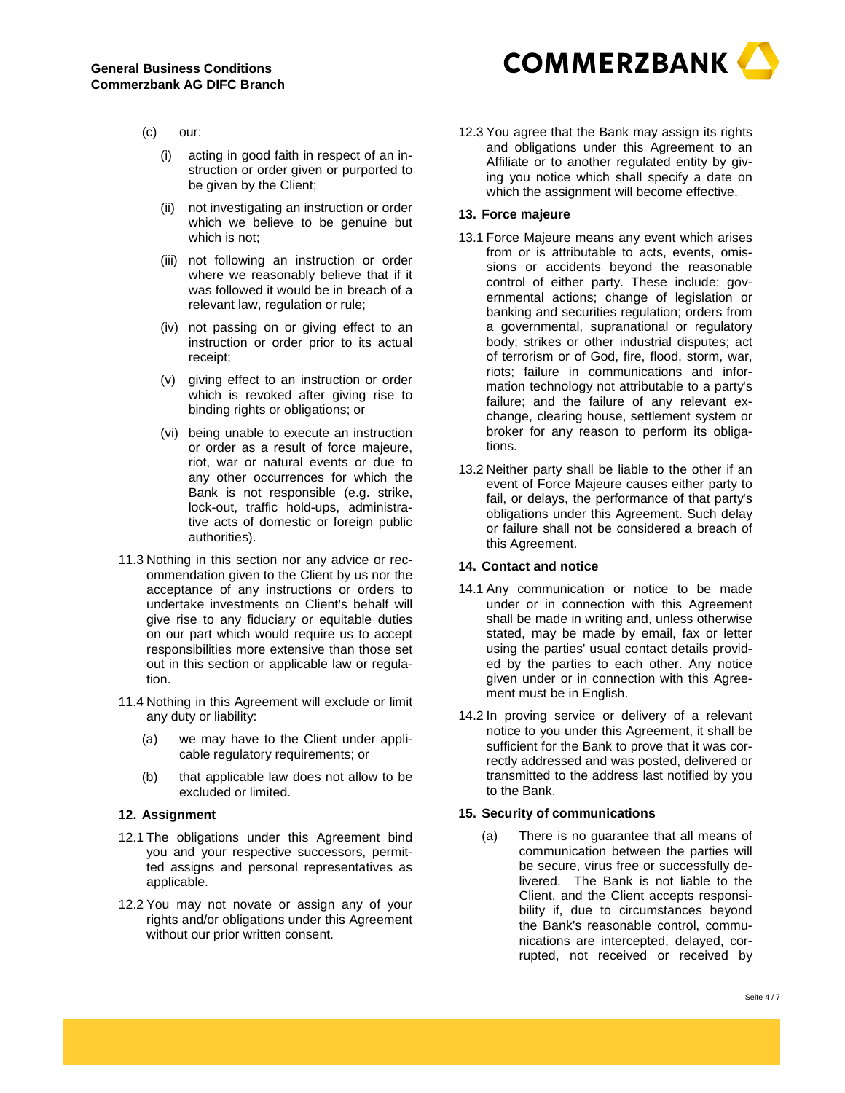

- (c) our:
	- (i) acting in good faith in respect of an instruction or order given or purported to be given by the Client;
	- (ii) not investigating an instruction or order which we believe to be genuine but which is not;
	- (iii) not following an instruction or order where we reasonably believe that if it was followed it would be in breach of a relevant law, regulation or rule;
	- (iv) not passing on or giving effect to an instruction or order prior to its actual receipt;
	- (v) giving effect to an instruction or order which is revoked after giving rise to binding rights or obligations; or
	- (vi) being unable to execute an instruction or order as a result of force majeure, riot, war or natural events or due to any other occurrences for which the Bank is not responsible (e.g. strike, lock-out, traffic hold-ups, administrative acts of domestic or foreign public authorities).
- 11.3 Nothing in this section nor any advice or recommendation given to the Client by us nor the acceptance of any instructions or orders to undertake investments on Client's behalf will give rise to any fiduciary or equitable duties on our part which would require us to accept responsibilities more extensive than those set out in this section or applicable law or regulation.
- 11.4 Nothing in this Agreement will exclude or limit any duty or liability:
	- (a) we may have to the Client under applicable regulatory requirements; or
	- (b) that applicable law does not allow to be excluded or limited.

#### **12. Assignment**

- 12.1 The obligations under this Agreement bind you and your respective successors, permitted assigns and personal representatives as applicable.
- 12.2 You may not novate or assign any of your rights and/or obligations under this Agreement without our prior written consent.

12.3 You agree that the Bank may assign its rights and obligations under this Agreement to an Affiliate or to another regulated entity by giving you notice which shall specify a date on which the assignment will become effective.

## **13. Force majeure**

- 13.1 Force Majeure means any event which arises from or is attributable to acts, events, omissions or accidents beyond the reasonable control of either party. These include: governmental actions; change of legislation or banking and securities regulation; orders from a governmental, supranational or regulatory body; strikes or other industrial disputes; act of terrorism or of God, fire, flood, storm, war, riots; failure in communications and information technology not attributable to a party's failure; and the failure of any relevant exchange, clearing house, settlement system or broker for any reason to perform its obligations.
- 13.2 Neither party shall be liable to the other if an event of Force Majeure causes either party to fail, or delays, the performance of that party's obligations under this Agreement. Such delay or failure shall not be considered a breach of this Agreement.

## **14. Contact and notice**

- 14.1 Any communication or notice to be made under or in connection with this Agreement shall be made in writing and, unless otherwise stated, may be made by email, fax or letter using the parties' usual contact details provided by the parties to each other. Any notice given under or in connection with this Agreement must be in English.
- 14.2 In proving service or delivery of a relevant notice to you under this Agreement, it shall be sufficient for the Bank to prove that it was correctly addressed and was posted, delivered or transmitted to the address last notified by you to the Bank.

## **15. Security of communications**

(a) There is no guarantee that all means of communication between the parties will be secure, virus free or successfully delivered. The Bank is not liable to the Client, and the Client accepts responsibility if, due to circumstances beyond the Bank's reasonable control, communications are intercepted, delayed, corrupted, not received or received by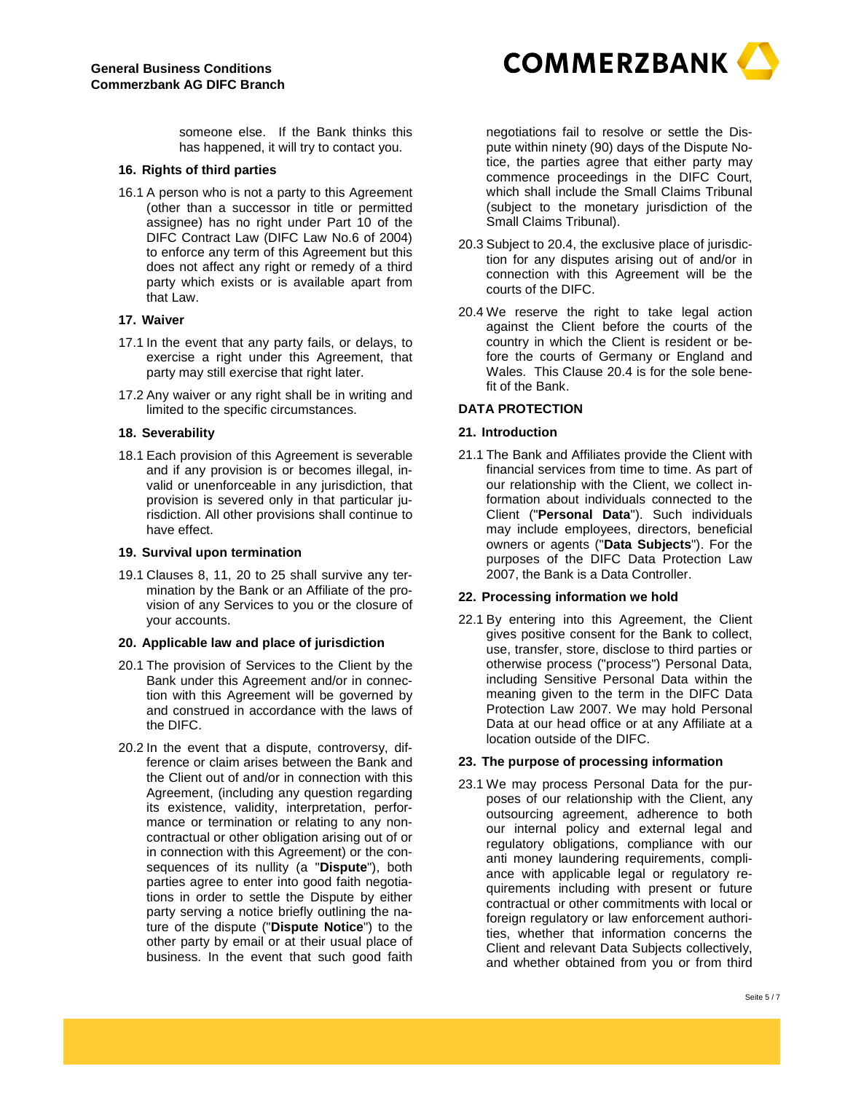**COMMERZBANK** 

someone else. If the Bank thinks this has happened, it will try to contact you.

#### **16. Rights of third parties**

16.1 A person who is not a party to this Agreement (other than a successor in title or permitted assignee) has no right under Part 10 of the DIFC Contract Law (DIFC Law No.6 of 2004) to enforce any term of this Agreement but this does not affect any right or remedy of a third party which exists or is available apart from that Law.

#### **17. Waiver**

- 17.1 In the event that any party fails, or delays, to exercise a right under this Agreement, that party may still exercise that right later.
- 17.2 Any waiver or any right shall be in writing and limited to the specific circumstances.

#### **18. Severability**

18.1 Each provision of this Agreement is severable and if any provision is or becomes illegal, invalid or unenforceable in any jurisdiction, that provision is severed only in that particular jurisdiction. All other provisions shall continue to have effect.

#### **19. Survival upon termination**

19.1 Clauses 8, 11, 20 to 25 shall survive any termination by the Bank or an Affiliate of the provision of any Services to you or the closure of your accounts.

#### **20. Applicable law and place of jurisdiction**

- 20.1 The provision of Services to the Client by the Bank under this Agreement and/or in connection with this Agreement will be governed by and construed in accordance with the laws of the DIFC.
- 20.2 In the event that a dispute, controversy, difference or claim arises between the Bank and the Client out of and/or in connection with this Agreement, (including any question regarding its existence, validity, interpretation, performance or termination or relating to any noncontractual or other obligation arising out of or in connection with this Agreement) or the consequences of its nullity (a "**Dispute**"), both parties agree to enter into good faith negotiations in order to settle the Dispute by either party serving a notice briefly outlining the nature of the dispute ("**Dispute Notice**") to the other party by email or at their usual place of business. In the event that such good faith

negotiations fail to resolve or settle the Dispute within ninety (90) days of the Dispute Notice, the parties agree that either party may commence proceedings in the DIFC Court, which shall include the Small Claims Tribunal (subject to the monetary jurisdiction of the Small Claims Tribunal).

- 20.3 Subject to 20.4, the exclusive place of jurisdiction for any disputes arising out of and/or in connection with this Agreement will be the courts of the DIFC.
- 20.4 We reserve the right to take legal action against the Client before the courts of the country in which the Client is resident or before the courts of Germany or England and Wales. This Clause 20.4 is for the sole benefit of the Bank.

## **DATA PROTECTION**

## **21. Introduction**

21.1 The Bank and Affiliates provide the Client with financial services from time to time. As part of our relationship with the Client, we collect information about individuals connected to the Client ("**Personal Data**"). Such individuals may include employees, directors, beneficial owners or agents ("**Data Subjects**"). For the purposes of the DIFC Data Protection Law 2007, the Bank is a Data Controller.

#### **22. Processing information we hold**

22.1 By entering into this Agreement, the Client gives positive consent for the Bank to collect, use, transfer, store, disclose to third parties or otherwise process ("process") Personal Data, including Sensitive Personal Data within the meaning given to the term in the DIFC Data Protection Law 2007. We may hold Personal Data at our head office or at any Affiliate at a location outside of the DIFC.

## **23. The purpose of processing information**

23.1 We may process Personal Data for the purposes of our relationship with the Client, any outsourcing agreement, adherence to both our internal policy and external legal and regulatory obligations, compliance with our anti money laundering requirements, compliance with applicable legal or regulatory requirements including with present or future contractual or other commitments with local or foreign regulatory or law enforcement authorities, whether that information concerns the Client and relevant Data Subjects collectively, and whether obtained from you or from third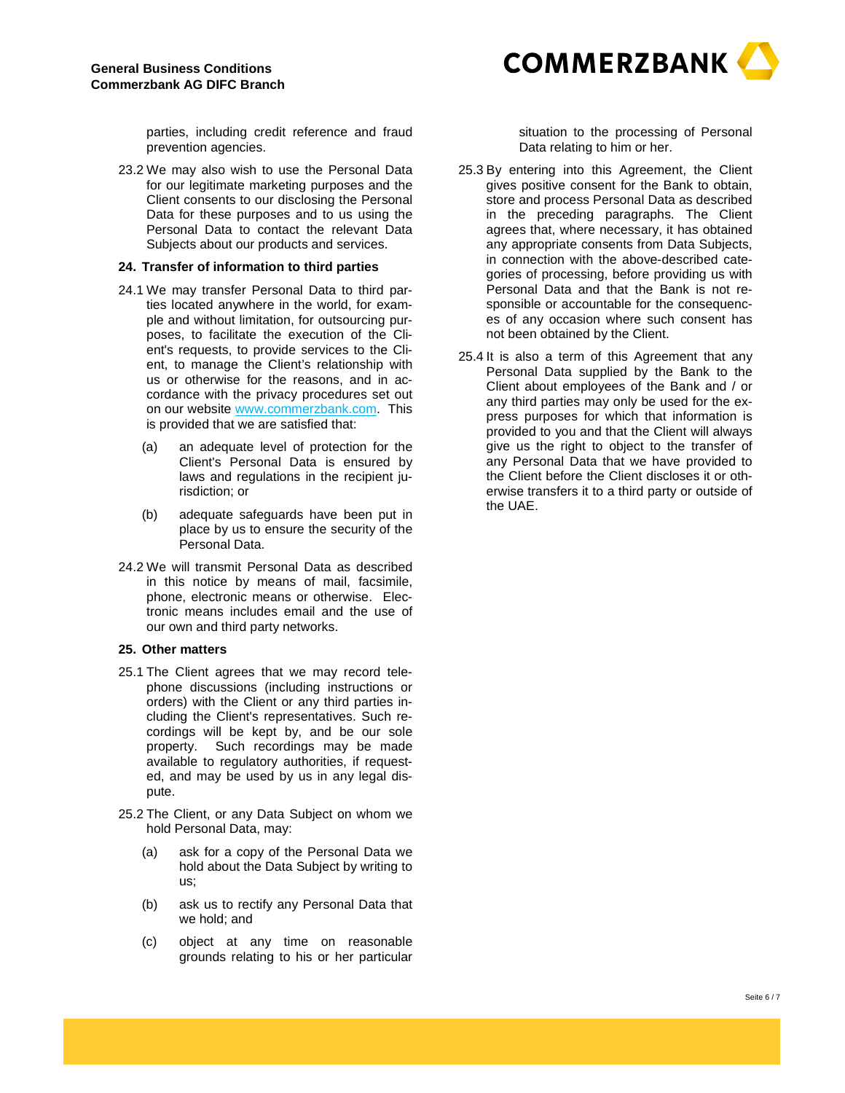

parties, including credit reference and fraud prevention agencies.

23.2 We may also wish to use the Personal Data for our legitimate marketing purposes and the Client consents to our disclosing the Personal Data for these purposes and to us using the Personal Data to contact the relevant Data Subjects about our products and services.

#### **24. Transfer of information to third parties**

- 24.1 We may transfer Personal Data to third parties located anywhere in the world, for example and without limitation, for outsourcing purposes, to facilitate the execution of the Client's requests, to provide services to the Client, to manage the Client's relationship with us or otherwise for the reasons, and in accordance with the privacy procedures set out on our website www.commerzbank.com. This is provided that we are satisfied that:
	- (a) an adequate level of protection for the Client's Personal Data is ensured by laws and regulations in the recipient jurisdiction; or
	- (b) adequate safeguards have been put in place by us to ensure the security of the Personal Data.
- 24.2 We will transmit Personal Data as described in this notice by means of mail, facsimile, phone, electronic means or otherwise. Electronic means includes email and the use of our own and third party networks.

## **25. Other matters**

- 25.1 The Client agrees that we may record telephone discussions (including instructions or orders) with the Client or any third parties including the Client's representatives. Such recordings will be kept by, and be our sole property. Such recordings may be made available to regulatory authorities, if requested, and may be used by us in any legal dispute.
- 25.2 The Client, or any Data Subject on whom we hold Personal Data, may:
	- (a) ask for a copy of the Personal Data we hold about the Data Subject by writing to us;
	- (b) ask us to rectify any Personal Data that we hold; and
	- (c) object at any time on reasonable grounds relating to his or her particular

situation to the processing of Personal Data relating to him or her.

- 25.3 By entering into this Agreement, the Client gives positive consent for the Bank to obtain, store and process Personal Data as described in the preceding paragraphs. The Client agrees that, where necessary, it has obtained any appropriate consents from Data Subjects, in connection with the above-described categories of processing, before providing us with Personal Data and that the Bank is not responsible or accountable for the consequences of any occasion where such consent has not been obtained by the Client.
- 25.4 It is also a term of this Agreement that any Personal Data supplied by the Bank to the Client about employees of the Bank and / or any third parties may only be used for the express purposes for which that information is provided to you and that the Client will always give us the right to object to the transfer of any Personal Data that we have provided to the Client before the Client discloses it or otherwise transfers it to a third party or outside of the UAE.